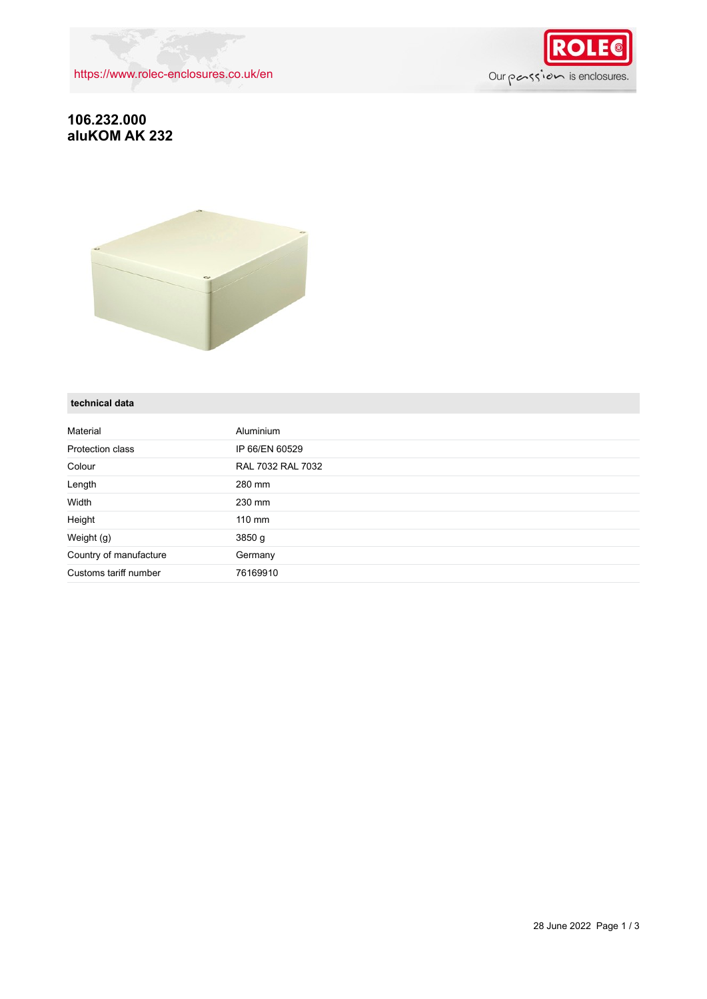<https://www.rolec-enclosures.co.uk/en>



## **106.232.000 aluKOM AK 232**



#### **technical data**

| Material               | <b>Aluminium</b>  |
|------------------------|-------------------|
| Protection class       | IP 66/EN 60529    |
| Colour                 | RAL 7032 RAL 7032 |
| Length                 | 280 mm            |
| Width                  | 230 mm            |
| Height                 | $110 \text{ mm}$  |
| Weight (g)             | 3850 g            |
| Country of manufacture | Germany           |
| Customs tariff number  | 76169910          |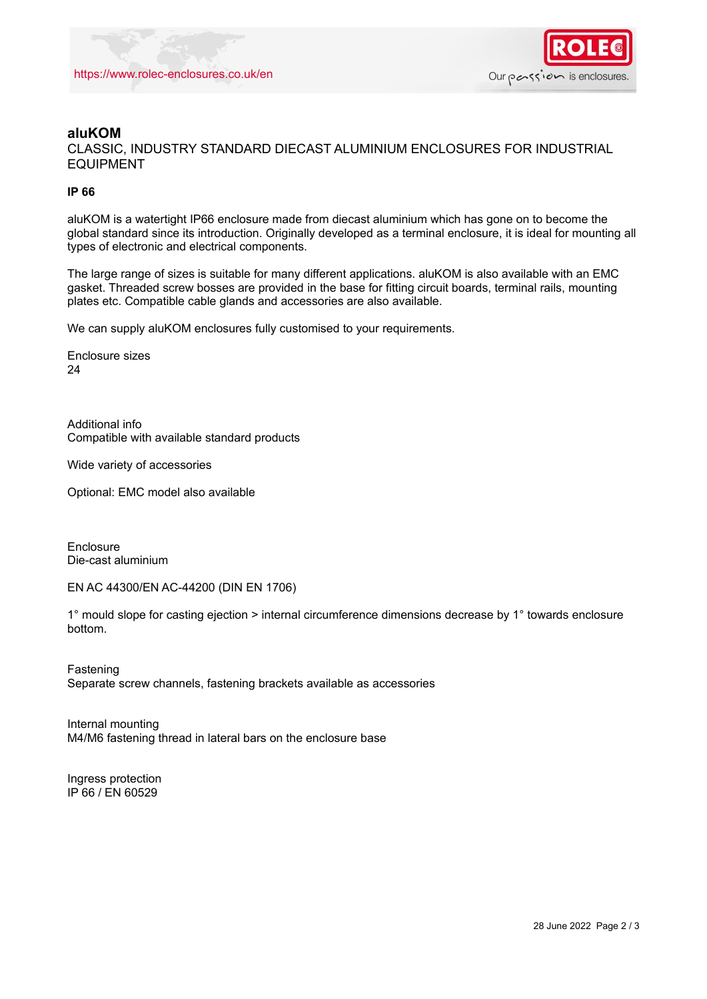

### **aluKOM**

CLASSIC, INDUSTRY STANDARD DIECAST ALUMINIUM ENCLOSURES FOR INDUSTRIAL EQUIPMENT

#### **IP 66**

aluKOM is a watertight IP66 enclosure made from diecast aluminium which has gone on to become the global standard since its introduction. Originally developed as a terminal enclosure, it is ideal for mounting all types of electronic and electrical components.

The large range of sizes is suitable for many different applications. aluKOM is also available with an EMC gasket. Threaded screw bosses are provided in the base for fitting circuit boards, terminal rails, mounting plates etc. Compatible cable glands and accessories are also available.

We can supply aluKOM enclosures fully customised to your requirements.

Enclosure sizes 24

Additional info Compatible with available standard products

Wide variety of accessories

Optional: EMC model also available

Enclosure Die-cast aluminium

EN AC 44300/EN AC-44200 (DIN EN 1706)

1° mould slope for casting ejection > internal circumference dimensions decrease by 1° towards enclosure bottom.

Fastening Separate screw channels, fastening brackets available as accessories

Internal mounting M4/M6 fastening thread in lateral bars on the enclosure base

Ingress protection IP 66 / EN 60529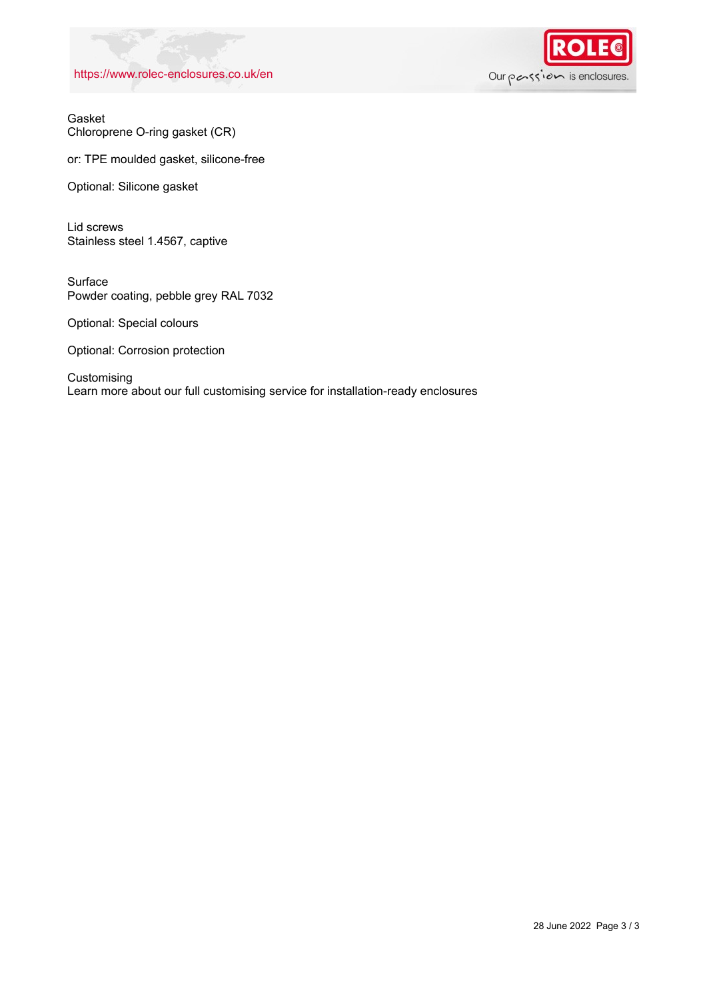#### <https://www.rolec-enclosures.co.uk/en>



Gasket Chloroprene O-ring gasket (CR)

or: TPE moulded gasket, silicone-free

Optional: Silicone gasket

Lid screws Stainless steel 1.4567, captive

Surface Powder coating, pebble grey RAL 7032

Optional: Special colours

Optional: Corrosion protection

Customising Learn more about our full customising service for installation-ready enclosures